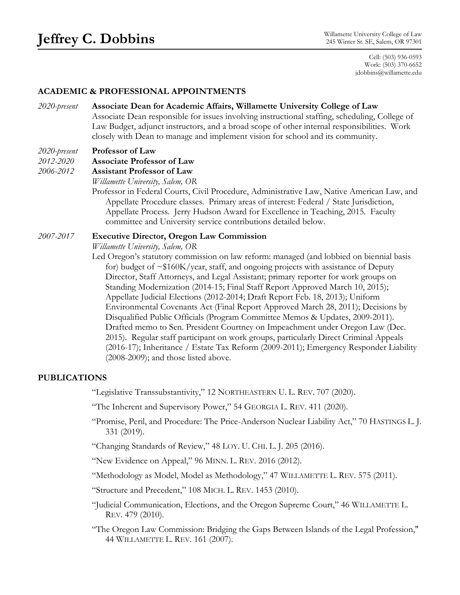Cell: (503) 936-0593 Work: (503) 370-6652 jdobbins@willamette.edu

## **ACADEMIC & PROFESSIONAL APPOINTMENTS**

*2020-present* **Associate Dean for Academic Affairs, Willamette University College of Law** Associate Dean responsible for issues involving instructional staffing, scheduling, College of Law Budget, adjunct instructors, and a broad scope of other internal responsibilities. Work closely with Dean to manage and implement vision for school and its community.

### *2020-present* **Professor of Law**

*2012-2020* **Associate Professor of Law** 

*2006-2012* **Assistant Professor of Law**

*Willamette University, Salem, OR*

Professor in Federal Courts, Civil Procedure, Administrative Law, Native American Law, and Appellate Procedure classes. Primary areas of interest: Federal / State Jurisdiction, Appellate Process. Jerry Hudson Award for Excellence in Teaching, 2015. Faculty committee and University service contributions detailed below.

#### *2007-2017* **Executive Director, Oregon Law Commission**

*Willamette University, Salem, OR*

Led Oregon's statutory commission on law reform: managed (and lobbied on biennial basis for) budget of ~\$160K/year, staff, and ongoing projects with assistance of Deputy Director, Staff Attorneys, and Legal Assistant; primary reporter for work groups on Standing Modernization (2014-15; Final Staff Report Approved March 10, 2015); Appellate Judicial Elections (2012-2014; Draft Report Feb. 18, 2013); Uniform Environmental Covenants Act (Final Report Approved March 28, 2011); Decisions by Disqualified Public Officials (Program Committee Memos & Updates, 2009-2011). Drafted memo to Sen. President Courtney on Impeachment under Oregon Law (Dec. 2015). Regular staff participant on work groups, particularly Direct Criminal Appeals (2016-17); Inheritance / Estate Tax Reform (2009-2011); Emergency Responder Liability (2008-2009); and those listed above.

### **PUBLICATIONS**

"Legislative Transsubstantivity," 12 NORTHEASTERN U. L. REV. 707 (2020).

"The Inherent and Supervisory Power," 54 GEORGIA L. REV. 411 (2020).

"Promise, Peril, and Procedure: The Price-Anderson Nuclear Liability Act," 70 HASTINGS L. J. 331 (2019).

"Changing Standards of Review," 48 LOY. U. CHI. L. J. 205 (2016).

"New Evidence on Appeal," 96 MINN. L. REV. 2016 (2012).

"Methodology as Model, Model as Methodology," 47 WILLAMETTE L. REV. 575 (2011).

"Structure and Precedent," 108 MICH. L. REV. 1453 (2010).

"Judicial Communication, Elections, and the Oregon Supreme Court," 46 WILLAMETTE L. REV. 479 (2010).

"The Oregon Law Commission: Bridging the Gaps Between Islands of the Legal Profession," 44 WILLAMETTE L. REV. 161 (2007).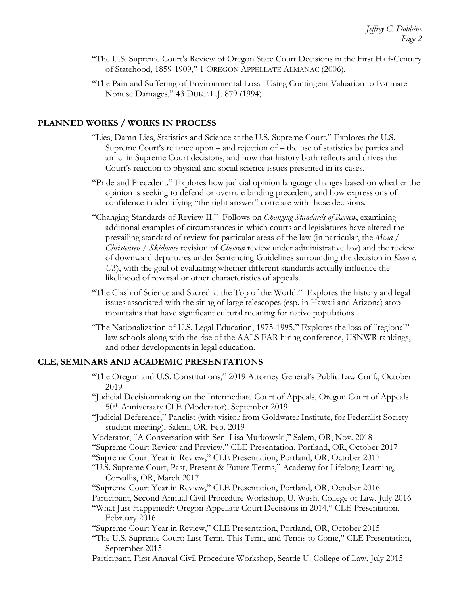- "The U.S. Supreme Court's Review of Oregon State Court Decisions in the First Half-Century of Statehood, 1859-1909," 1 OREGON APPELLATE ALMANAC (2006).
- "The Pain and Suffering of Environmental Loss: Using Contingent Valuation to Estimate Nonuse Damages," 43 DUKE L.J. 879 (1994).

## **PLANNED WORKS / WORKS IN PROCESS**

- "Lies, Damn Lies, Statistics and Science at the U.S. Supreme Court." Explores the U.S. Supreme Court's reliance upon – and rejection of – the use of statistics by parties and amici in Supreme Court decisions, and how that history both reflects and drives the Court's reaction to physical and social science issues presented in its cases.
- "Pride and Precedent." Explores how judicial opinion language changes based on whether the opinion is seeking to defend or overrule binding precedent, and how expressions of confidence in identifying "the right answer" correlate with those decisions.
- "Changing Standards of Review II." Follows on *Changing Standards of Review*, examining additional examples of circumstances in which courts and legislatures have altered the prevailing standard of review for particular areas of the law (in particular, the *Mead* / *Christensen* / *Skidmore* revision of *Chevron* review under administrative law) and the review of downward departures under Sentencing Guidelines surrounding the decision in *Koon v. US*), with the goal of evaluating whether different standards actually influence the likelihood of reversal or other characteristics of appeals.
- "The Clash of Science and Sacred at the Top of the World."Explores the history and legal issues associated with the siting of large telescopes (esp. in Hawaii and Arizona) atop mountains that have significant cultural meaning for native populations.
- "The Nationalization of U.S. Legal Education, 1975-1995." Explores the loss of "regional" law schools along with the rise of the AALS FAR hiring conference, USNWR rankings, and other developments in legal education.

### **CLE, SEMINARS AND ACADEMIC PRESENTATIONS**

- "The Oregon and U.S. Constitutions," 2019 Attorney General's Public Law Conf., October 2019
- "Judicial Decisionmaking on the Intermediate Court of Appeals, Oregon Court of Appeals 50th Anniversary CLE (Moderator), September 2019
- "Judicial Deference," Panelist (with visitor from Goldwater Institute, for Federalist Society student meeting), Salem, OR, Feb. 2019
- Moderator, "A Conversation with Sen. Lisa Murkowski," Salem, OR, Nov. 2018
- "Supreme Court Review and Preview," CLE Presentation, Portland, OR, October 2017
- "Supreme Court Year in Review," CLE Presentation, Portland, OR, October 2017
- "U.S. Supreme Court, Past, Present & Future Terms," Academy for Lifelong Learning, Corvallis, OR, March 2017

"Supreme Court Year in Review," CLE Presentation, Portland, OR, October 2016 Participant, Second Annual Civil Procedure Workshop, U. Wash. College of Law, July 2016 "What Just Happened?: Oregon Appellate Court Decisions in 2014," CLE Presentation,

- February 2016
- "Supreme Court Year in Review," CLE Presentation, Portland, OR, October 2015
- "The U.S. Supreme Court: Last Term, This Term, and Terms to Come," CLE Presentation, September 2015
- Participant, First Annual Civil Procedure Workshop, Seattle U. College of Law, July 2015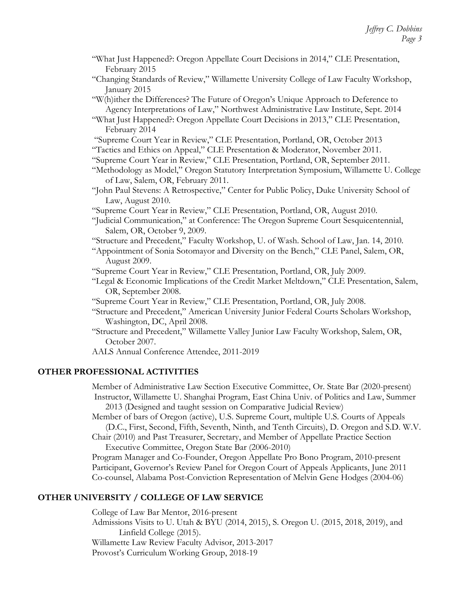- "What Just Happened?: Oregon Appellate Court Decisions in 2014," CLE Presentation, February 2015
- "Changing Standards of Review," Willamette University College of Law Faculty Workshop, January 2015
- "W(h)ither the Differences? The Future of Oregon's Unique Approach to Deference to Agency Interpretations of Law," Northwest Administrative Law Institute, Sept. 2014
- "What Just Happened?: Oregon Appellate Court Decisions in 2013," CLE Presentation, February 2014
- "Supreme Court Year in Review," CLE Presentation, Portland, OR, October 2013

"Tactics and Ethics on Appeal," CLE Presentation & Moderator, November 2011.

- "Supreme Court Year in Review," CLE Presentation, Portland, OR, September 2011.
- "Methodology as Model," Oregon Statutory Interpretation Symposium, Willamette U. College of Law, Salem, OR, February 2011.
- "John Paul Stevens: A Retrospective," Center for Public Policy, Duke University School of Law, August 2010.
- "Supreme Court Year in Review," CLE Presentation, Portland, OR, August 2010.
- "Judicial Communication," at Conference: The Oregon Supreme Court Sesquicentennial, Salem, OR, October 9, 2009.
- "Structure and Precedent," Faculty Workshop, U. of Wash. School of Law, Jan. 14, 2010.
- "Appointment of Sonia Sotomayor and Diversity on the Bench," CLE Panel, Salem, OR, August 2009.

"Supreme Court Year in Review," CLE Presentation, Portland, OR, July 2009.

- "Legal & Economic Implications of the Credit Market Meltdown," CLE Presentation, Salem, OR, September 2008.
- "Supreme Court Year in Review," CLE Presentation, Portland, OR, July 2008.
- "Structure and Precedent," American University Junior Federal Courts Scholars Workshop, Washington, DC, April 2008.
- "Structure and Precedent," Willamette Valley Junior Law Faculty Workshop, Salem, OR, October 2007.
- AALS Annual Conference Attendee, 2011-2019

# **OTHER PROFESSIONAL ACTIVITIES**

Member of Administrative Law Section Executive Committee, Or. State Bar (2020-present) Instructor, Willamette U. Shanghai Program, East China Univ. of Politics and Law, Summer 2013 (Designed and taught session on Comparative Judicial Review)

Member of bars of Oregon (active), U.S. Supreme Court, multiple U.S. Courts of Appeals (D.C., First, Second, Fifth, Seventh, Ninth, and Tenth Circuits), D. Oregon and S.D. W.V.

Chair (2010) and Past Treasurer, Secretary, and Member of Appellate Practice Section Executive Committee, Oregon State Bar (2006-2010)

Program Manager and Co-Founder, Oregon Appellate Pro Bono Program, 2010-present Participant, Governor's Review Panel for Oregon Court of Appeals Applicants, June 2011 Co-counsel, Alabama Post-Conviction Representation of Melvin Gene Hodges (2004-06)

# **OTHER UNIVERSITY / COLLEGE OF LAW SERVICE**

College of Law Bar Mentor, 2016-present Admissions Visits to U. Utah & BYU (2014, 2015), S. Oregon U. (2015, 2018, 2019), and Linfield College (2015). Willamette Law Review Faculty Advisor, 2013-2017 Provost's Curriculum Working Group, 2018-19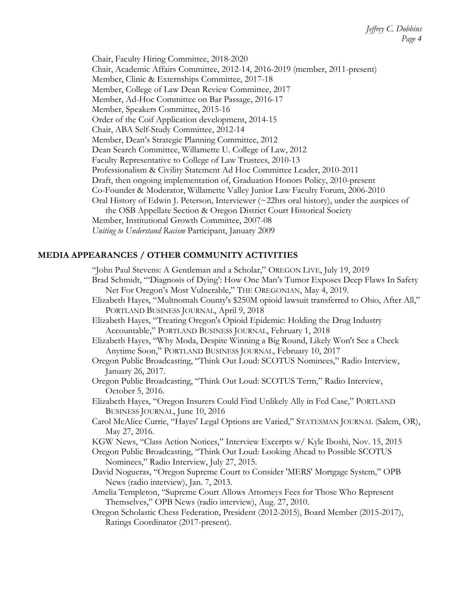Chair, Faculty Hiring Committee, 2018-2020 Chair, Academic Affairs Committee, 2012-14, 2016-2019 (member, 2011-present) Member, Clinic & Externships Committee, 2017-18 Member, College of Law Dean Review Committee, 2017 Member, Ad-Hoc Committee on Bar Passage, 2016-17 Member, Speakers Committee, 2015-16 Order of the Coif Application development, 2014-15 Chair, ABA Self-Study Committee, 2012-14 Member, Dean's Strategic Planning Committee, 2012 Dean Search Committee, Willamette U. College of Law, 2012 Faculty Representative to College of Law Trustees, 2010-13 Professionalism & Civility Statement Ad Hoc Committee Leader, 2010-2011 Draft, then ongoing implementation of, Graduation Honors Policy, 2010-present Co-Founder & Moderator, Willamette Valley Junior Law Faculty Forum, 2006-2010 Oral History of Edwin J. Peterson, Interviewer  $(\sim 22$ hrs oral history), under the auspices of the OSB Appellate Section & Oregon District Court Historical Society Member, Institutional Growth Committee, 2007-08 *Uniting to Understand Racism* Participant, January 2009

# **MEDIA APPEARANCES / OTHER COMMUNITY ACTIVITIES**

Ratings Coordinator (2017-present).

"John Paul Stevens: A Gentleman and a Scholar," OREGON LIVE, July 19, 2019 Brad Schmidt, "'Diagnosis of Dying': How One Man's Tumor Exposes Deep Flaws In Safety Net For Oregon's Most Vulnerable," THE OREGONIAN, May 4, 2019. Elizabeth Hayes, "Multnomah County's \$250M opioid lawsuit transferred to Ohio, After All," PORTLAND BUSINESS JOURNAL, April 9, 2018 Elizabeth Hayes, "Treating Oregon's Opioid Epidemic: Holding the Drug Industry Accountable," PORTLAND BUSINESS JOURNAL, February 1, 2018 Elizabeth Hayes, "Why Moda, Despite Winning a Big Round, Likely Won't See a Check Anytime Soon," PORTLAND BUSINESS JOURNAL, February 10, 2017 Oregon Public Broadcasting, "Think Out Loud: SCOTUS Nominees," Radio Interview, January 26, 2017. Oregon Public Broadcasting, "Think Out Loud: SCOTUS Term," Radio Interview, October 5, 2016. Elizabeth Hayes, "Oregon Insurers Could Find Unlikely Ally in Fed Case," PORTLAND BUSINESS JOURNAL, June 10, 2016 Carol McAlice Currie, "Hayes' Legal Options are Varied," STATESMAN JOURNAL (Salem, OR), May 27, 2016. KGW News, "Class Action Notices," Interview Excerpts w/ Kyle Iboshi, Nov. 15, 2015 Oregon Public Broadcasting, "Think Out Loud: Looking Ahead to Possible SCOTUS Nominees," Radio Interview, July 27, 2015. David Nogueras, "Oregon Supreme Court to Consider 'MERS' Mortgage System," OPB News (radio interview), Jan. 7, 2013. Amelia Templeton, "Supreme Court Allows Attorneys Fees for Those Who Represent Themselves," OPB News (radio interview), Aug. 27, 2010. Oregon Scholastic Chess Federation, President (2012-2015), Board Member (2015-2017),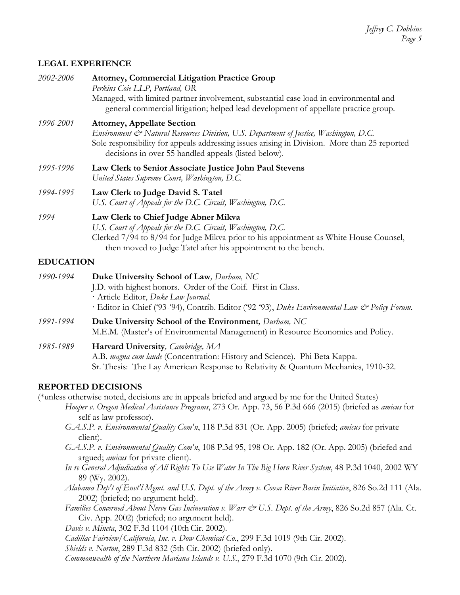# **LEGAL EXPERIENCE**

| 2002-2006        | <b>Attorney, Commercial Litigation Practice Group</b><br>Perkins Coie LLP, Portland, OR                                                                                                                                                                                              |
|------------------|--------------------------------------------------------------------------------------------------------------------------------------------------------------------------------------------------------------------------------------------------------------------------------------|
|                  | Managed, with limited partner involvement, substantial case load in environmental and<br>general commercial litigation; helped lead development of appellate practice group.                                                                                                         |
| 1996-2001        | <b>Attorney, Appellate Section</b><br>Environment & Natural Resources Division, U.S. Department of Justice, Washington, D.C.<br>Sole responsibility for appeals addressing issues arising in Division. More than 25 reported<br>decisions in over 55 handled appeals (listed below). |
| 1995-1996        | Law Clerk to Senior Associate Justice John Paul Stevens<br>United States Supreme Court, Washington, D.C.                                                                                                                                                                             |
| 1994-1995        | Law Clerk to Judge David S. Tatel<br>U.S. Court of Appeals for the D.C. Circuit, Washington, D.C.                                                                                                                                                                                    |
| 1994             | Law Clerk to Chief Judge Abner Mikva<br>U.S. Court of Appeals for the D.C. Circuit, Washington, D.C.<br>Clerked 7/94 to 8/94 for Judge Mikva prior to his appointment as White House Counsel,<br>then moved to Judge Tatel after his appointment to the bench.                       |
| <b>EDUCATION</b> |                                                                                                                                                                                                                                                                                      |
| 1990-1994        | Duke University School of Law, Durham, NC<br>J.D. with highest honors. Order of the Coif. First in Class.<br>· Article Editor, Duke Law Journal.<br>· Editor-in-Chief ('93-'94), Contrib. Editor ('92-'93), Duke Environmental Law & Policy Forum.                                   |
| 1991-1994        | Duke University School of the Environment, Durham, NC<br>M.E.M. (Master's of Environmental Management) in Resource Economics and Policy.                                                                                                                                             |
| 1985-1989        | Harvard University, Cambridge, MA<br>A.B. magna cum laude (Concentration: History and Science). Phi Beta Kappa.<br>Sr. Thesis: The Lay American Response to Relativity & Quantum Mechanics, 1910-32.                                                                                 |
|                  | <b>REPORTED DECISIONS</b>                                                                                                                                                                                                                                                            |
|                  | (*unless otherwise noted, decisions are in appeals briefed and argued by me for the United States)<br>Hooper v. Oregon Medical Assistance Programs, 273 Or. App. 73, 56 P.3d 666 (2015) (briefed as amicus for<br>self as law professor).                                            |
|                  | G.A.S.P. v. Environmental Quality Com'n, 118 P.3d 831 (Or. App. 2005) (briefed; amicus for private<br>client).                                                                                                                                                                       |
|                  | G.A.S.P. v. Environmental Quality Com'n, 108 P.3d 95, 198 Or. App. 182 (Or. App. 2005) (briefed and<br>argued; <i>amicus</i> for private client).                                                                                                                                    |

- *In re General Adjudication of All Rights To Use Water In The Big Horn River System*, 48 P.3d 1040, 2002 WY 89 (Wy. 2002).
- *Alabama Dep't of Envt'l Mgmt. and U.S. Dept. of the Army v. Coosa River Basin Initiative*, 826 So.2d 111 (Ala. 2002) (briefed; no argument held).
- *Families Concerned About Nerve Gas Incineration v. Warr & U.S. Dept. of the Army*, 826 So.2d 857 (Ala. Ct. Civ. App. 2002) (briefed; no argument held).

*Davis v. Mineta*, 302 F.3d 1104 (10th Cir. 2002).

- *Cadillac Fairview/California, Inc. v. Dow Chemical Co.*, 299 F.3d 1019 (9th Cir. 2002).
- *Shields v. Norton*, 289 F.3d 832 (5th Cir. 2002) (briefed only).
- *Commonwealth of the Northern Mariana Islands v. U.S.*, 279 F.3d 1070 (9th Cir. 2002).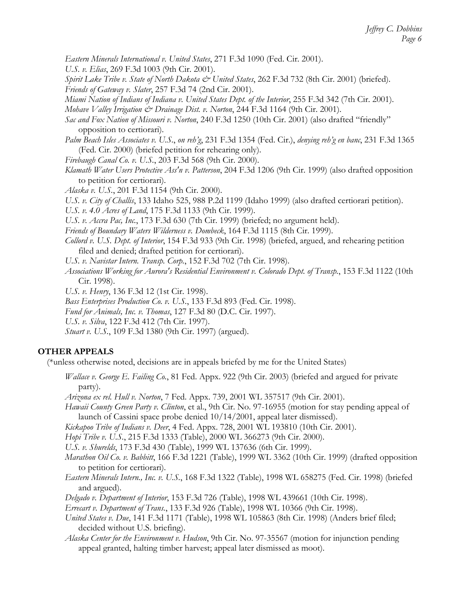*Eastern Minerals International v. United States*, 271 F.3d 1090 (Fed. Cir. 2001).

*U.S. v. Elias*, 269 F.3d 1003 (9th Cir. 2001).

*Spirit Lake Tribe v. State of North Dakota & United States*, 262 F.3d 732 (8th Cir. 2001) (briefed). *Friends of Gateway v. Slater*, 257 F.3d 74 (2nd Cir. 2001).

*Miami Nation of Indians of Indiana v. United States Dept. of the Interior*, 255 F.3d 342 (7th Cir. 2001).

*Mohave Valley Irrigation & Drainage Dist. v. Norton*, 244 F.3d 1164 (9th Cir. 2001).

- *Sac and Fox Nation of Missouri v. Norton*, 240 F.3d 1250 (10th Cir. 2001) (also drafted "friendly" opposition to certiorari).
- *Palm Beach Isles Associates v. U.S.*, *on reh'g*, 231 F.3d 1354 (Fed. Cir.), *denying reh'g en banc*, 231 F.3d 1365 (Fed. Cir. 2000) (briefed petition for rehearing only).
- *Firebaugh Canal Co. v. U.S.*, 203 F.3d 568 (9th Cir. 2000).
- *Klamath Water Users Protective Ass'n v. Patterson*, 204 F.3d 1206 (9th Cir. 1999) (also drafted opposition to petition for certiorari).
- *Alaska v. U.S.*, 201 F.3d 1154 (9th Cir. 2000).

*U.S. v. City of Challis*, 133 Idaho 525, 988 P.2d 1199 (Idaho 1999) (also drafted certiorari petition).

*U.S. v. 4.0 Acres of Land*, 175 F.3d 1133 (9th Cir. 1999).

*U.S. v. Accra Pac, Inc.*, 173 F.3d 630 (7th Cir. 1999) (briefed; no argument held).

*Friends of Boundary Waters Wilderness v. Dombeck*, 164 F.3d 1115 (8th Cir. 1999).

*Collord v. U.S. Dept. of Interior*, 154 F.3d 933 (9th Cir. 1998) (briefed, argued, and rehearing petition filed and denied; drafted petition for certiorari).

*U.S. v. Navistar Intern. Transp. Corp.*, 152 F.3d 702 (7th Cir. 1998).

*Associations Working for Aurora's Residential Environment v. Colorado Dept. of Transp.*, 153 F.3d 1122 (10th Cir. 1998).

*U.S. v. Henry*, 136 F.3d 12 (1st Cir. 1998).

*Bass Enterprises Production Co. v. U.S.*, 133 F.3d 893 (Fed. Cir. 1998).

*Fund for Animals, Inc. v. Thomas*, 127 F.3d 80 (D.C. Cir. 1997).

*U.S. v. Silva*, 122 F.3d 412 (7th Cir. 1997).

*Stuart v. U.S.*, 109 F.3d 1380 (9th Cir. 1997) (argued).

# **OTHER APPEALS**

(\*unless otherwise noted, decisions are in appeals briefed by me for the United States)

*Wallace v. George E. Failing Co.*, 81 Fed. Appx. 922 (9th Cir. 2003) (briefed and argued for private party).

*Arizona ex rel. Hull v. Norton*, 7 Fed. Appx. 739, 2001 WL 357517 (9th Cir. 2001).

*Hawaii County Green Party v. Clinton*, et al., 9th Cir. No. 97-16955 (motion for stay pending appeal of launch of Cassini space probe denied 10/14/2001, appeal later dismissed).

*Kickapoo Tribe of Indians v. Deer*, 4 Fed. Appx. 728, 2001 WL 193810 (10th Cir. 2001).

*Hopi Tribe v. U.S.*, 215 F.3d 1333 (Table), 2000 WL 366273 (9th Cir. 2000).

*U.S. v. Shurelds*, 173 F.3d 430 (Table), 1999 WL 137636 (6th Cir. 1999).

- *Marathon Oil Co. v. Babbitt*, 166 F.3d 1221 (Table), 1999 WL 3362 (10th Cir. 1999) (drafted opposition to petition for certiorari).
- *Eastern Minerals Intern., Inc. v. U.S.*, 168 F.3d 1322 (Table), 1998 WL 658275 (Fed. Cir. 1998) (briefed and argued).
- *Delgado v. Department of Interior*, 153 F.3d 726 (Table), 1998 WL 439661 (10th Cir. 1998).

*Errecart v. Department of Trans.*, 133 F.3d 926 (Table), 1998 WL 10366 (9th Cir. 1998).

*United States v. Due*, 141 F.3d 1171 (Table), 1998 WL 105863 (8th Cir. 1998) (Anders brief filed; decided without U.S. briefing).

*Alaska Center for the Environment v. Hudson*, 9th Cir. No. 97-35567 (motion for injunction pending appeal granted, halting timber harvest; appeal later dismissed as moot).